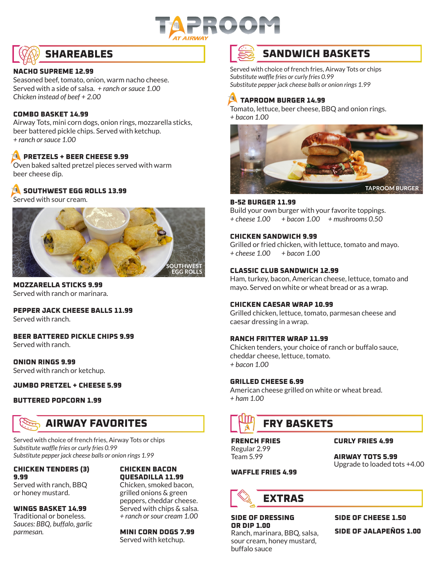



#### **NACHO SUPREME 12.99**

Seasoned beef, tomato, onion, warm nacho cheese. Served with a side of salsa. *+ ranch or sauce 1.00 Chicken instead of beef + 2.00*

#### **COMBO BASKET 14.99**

Airway Tots, mini corn dogs, onion rings, mozzarella sticks, beer battered pickle chips. Served with ketchup. *+ ranch or sauce 1.00*

#### **B** PRETZELS + BEER CHEESE 9.99

Oven baked salted pretzel pieces served with warm beer cheese dip.

#### **A** SOUTHWEST EGG ROLLS 13.99

Served with sour cream.



#### **MOZZARELLA STICKS 9.99** Served with ranch or marinara.

**PEPPER JACK CHEESE BALLS 11.99** Served with ranch.

**BEER BATTERED PICKLE CHIPS 9.99** Served with ranch.

**ONION RINGS 9.99** Served with ranch or ketchup.

**JUMBO PRETZEL + CHEESE 5.99**

#### **BUTTERED POPCORN 1.99**

### **AIRWAY FAVORITES**

Served with choice of french fries, Airway Tots or chips *Substitute waffle fries or curly fries 0.99 Substitute pepper jack cheese balls or onion rings 1.99*

#### **CHICKEN TENDERS (3) 9.99**

Served with ranch, BBQ or honey mustard.

**WINGS BASKET 14.99** Traditional or boneless. *Sauces: BBQ, buffalo, garlic* 

*parmesan.*

#### **CHICKEN BACON QUESADILLA 11.99**

Chicken, smoked bacon, grilled onions & green peppers, cheddar cheese. Served with chips & salsa. *+ ranch or sour cream 1.00* 

**MINI CORN DOGS 7.99** Served with ketchup.

### **SANDWICH BASKETS**

Served with choice of french fries, Airway Tots or chips *Substitute waffle fries or curly fries 0.99 Substitute pepper jack cheese balls or onion rings 1.99*

#### **TAPROOM BURGER 14.99**

Tomato, lettuce, beer cheese, BBQ and onion rings. *+ bacon 1.00*



#### **B-52 BURGER 11.99**

Build your own burger with your favorite toppings. *+ cheese 1.00 + bacon 1.00 + mushrooms 0.50*

#### **CHICKEN SANDWICH 9.99**

Grilled or fried chicken, with lettuce, tomato and mayo. *+ cheese 1.00 + bacon 1.00*

#### **CLASSIC CLUB SANDWICH 12.99**

Ham, turkey, bacon, American cheese, lettuce, tomato and mayo. Served on white or wheat bread or as a wrap.

#### **CHICKEN CAESAR WRAP 10.99**

Grilled chicken, lettuce, tomato, parmesan cheese and caesar dressing in a wrap.

#### **RANCH FRITTER WRAP 11.99**

Chicken tenders, your choice of ranch or buffalo sauce, cheddar cheese, lettuce, tomato. *+ bacon 1.00*

#### **GRILLED CHEESE 6.99**

American cheese grilled on white or wheat bread. *+ ham 1.00*

## **FRY BASKETS**

**FRENCH FRIES** Regular 2.99 Team 5.99

**CURLY FRIES 4.99**

**AIRWAY TOTS 5.99** Upgrade to loaded tots +4.00

#### **WAFFLE FRIES 4.99**

## **EXTRAS**

sour cream, honey mustard,

**SIDE OF DRESSING OR DIP 1.00** Ranch, marinara, BBQ, salsa,

buffalo sauce

**SIDE OF CHEESE 1.50 SIDE OF JALAPEÑOS 1.00**